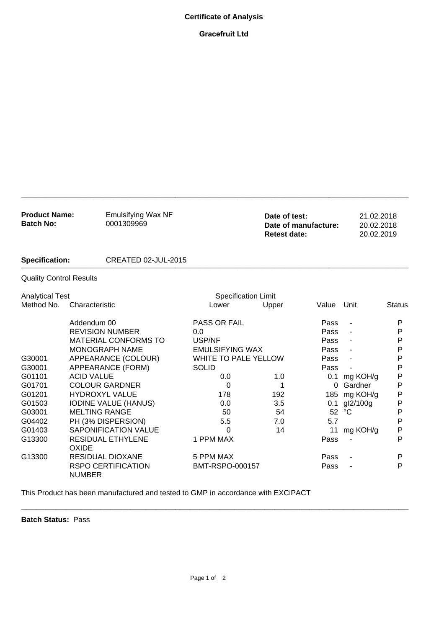## **Certificate of Analysis**

## **Gracefruit Ltd**

| <b>Product Name:</b><br><b>Batch No:</b> | <b>Emulsifying Wax NF</b><br>0001309969    |                            | Date of test:<br>Date of manufacture:<br><b>Retest date:</b> |          | 21.02.2018<br>20.02.2018<br>20.02.2019 |               |
|------------------------------------------|--------------------------------------------|----------------------------|--------------------------------------------------------------|----------|----------------------------------------|---------------|
| <b>Specification:</b>                    | CREATED 02-JUL-2015                        |                            |                                                              |          |                                        |               |
| <b>Quality Control Results</b>           |                                            |                            |                                                              |          |                                        |               |
| <b>Analytical Test</b>                   |                                            | <b>Specification Limit</b> |                                                              |          |                                        |               |
| Method No.                               | Characteristic                             | Lower                      | Upper                                                        | Value    | Unit                                   | <b>Status</b> |
|                                          | Addendum 00                                | <b>PASS OR FAIL</b>        |                                                              | Pass     | $\overline{\phantom{a}}$               | P             |
|                                          | <b>REVISION NUMBER</b>                     | 0.0                        |                                                              | Pass     |                                        | P             |
|                                          | <b>MATERIAL CONFORMS TO</b>                | USP/NF                     |                                                              | Pass     | $\blacksquare$                         | P             |
|                                          | MONOGRAPH NAME                             | <b>EMULSIFYING WAX</b>     |                                                              | Pass     |                                        | P             |
| G30001                                   | APPEARANCE (COLOUR)                        | WHITE TO PALE YELLOW       |                                                              | Pass     |                                        | P             |
| G30001                                   | APPEARANCE (FORM)                          | <b>SOLID</b>               |                                                              | Pass     |                                        | P             |
| G01101                                   | <b>ACID VALUE</b>                          | 0.0                        | 1.0                                                          | 0.1      | mg KOH/g                               | P             |
| G01701                                   | <b>COLOUR GARDNER</b>                      | 0                          | 1                                                            | $\Omega$ | Gardner                                | P             |
| G01201                                   | <b>HYDROXYL VALUE</b>                      | 178                        | 192                                                          |          | 185 mg KOH/g                           | P             |
| G01503                                   | <b>IODINE VALUE (HANUS)</b>                | 0.0                        | 3.5                                                          |          | 0.1 gl2/100g                           | P             |
| G03001                                   | <b>MELTING RANGE</b>                       | 50                         | 54                                                           | 52       | $^{\circ}C$                            | P             |
| G04402                                   | PH (3% DISPERSION)                         | 5.5                        | 7.0                                                          | 5.7      |                                        | Ρ             |
| G01403                                   | <b>SAPONIFICATION VALUE</b>                | 0                          | 14                                                           | 11       | mg KOH/g                               | P             |
| G13300                                   | <b>RESIDUAL ETHYLENE</b><br><b>OXIDE</b>   | 1 PPM MAX                  |                                                              | Pass     |                                        | P             |
| G13300                                   | <b>RESIDUAL DIOXANE</b>                    | 5 PPM MAX                  |                                                              | Pass     |                                        | P             |
|                                          | <b>RSPO CERTIFICATION</b><br><b>NUMBER</b> | BMT-RSPO-000157            |                                                              | Pass     |                                        | P             |

**\_\_\_\_\_\_\_\_\_\_\_\_\_\_\_\_\_\_\_\_\_\_\_\_\_\_\_\_\_\_\_\_\_\_\_\_\_\_\_\_\_\_\_\_\_\_\_\_\_\_\_\_\_\_\_\_\_\_\_\_\_\_\_\_\_\_\_\_\_\_\_\_\_\_\_\_\_\_**

This Product has been manufactured and tested to GMP in accordance with EXCiPACT

**Batch Status:** Pass

**\_\_\_\_\_\_\_\_\_\_\_\_\_\_\_\_\_\_\_\_\_\_\_\_\_\_\_\_\_\_\_\_\_\_\_\_\_\_\_\_\_\_\_\_\_\_\_\_\_\_\_\_\_\_\_\_\_\_\_\_\_\_\_\_\_\_\_\_\_\_\_\_\_\_\_\_\_\_**